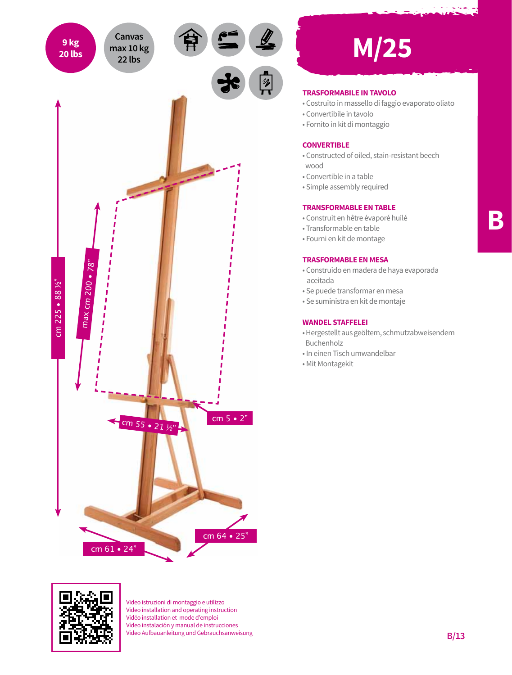

# **20 lbs M/25**

# **TRASFORMABILE IN TAVOLO**

- Costruito in massello di faggio evaporato oliato
- Convertibile in tavolo
- Fornito in kit di montaggio

## **CONVERTIBLE**

- Constructed of oiled, stain-resistant beech wood
- Convertible in a table
- Simple assembly required

#### **TRANSFORMABLE EN TABLE**

- Construit en hêtre évaporé huilé
- Transformable en table
- Fourni en kit de montage

# **TRASFORMABLE EN MESA**

- Construido en madera de haya evaporada aceitada
- Se puede transformar en mesa
- Se suministra en kit de montaje

## **WANDEL STAFFELEI**

- Hergestellt aus geöltem, schmutzabweisendem Buchenholz
- In einen Tisch umwandelbar
- Mit Montagekit



Video istruzioni di montaggio e utilizzo Video installation and operating instruction Vidéo installation et mode d'emploi Vídeo instalación y manual de instrucciones Video Aufbauanleitung und Gebrauchsanweisung